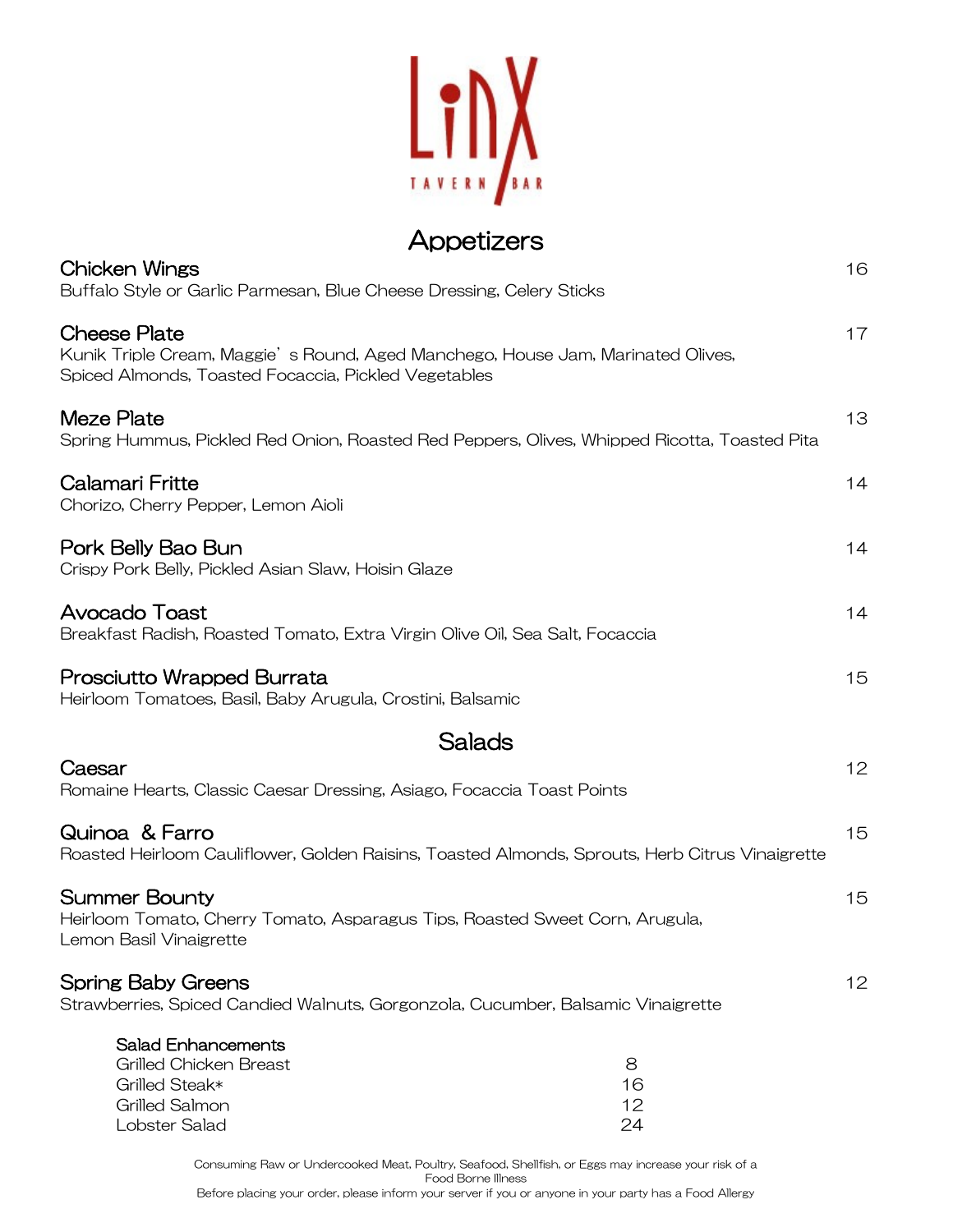

## Appetizers

| Chicken Wings<br>Buffalo Style or Garlic Parmesan, Blue Cheese Dressing, Celery Sticks                                                                         | 16 |
|----------------------------------------------------------------------------------------------------------------------------------------------------------------|----|
| <b>Cheese Plate</b><br>Kunik Triple Cream, Maggie's Round, Aged Manchego, House Jam, Marinated Olives,<br>Spiced Almonds, Toasted Focaccia, Pickled Vegetables | 17 |
| Meze Plate<br>Spring Hummus, Pickled Red Onion, Roasted Red Peppers, Olives, Whipped Ricotta, Toasted Pita                                                     | 13 |
| <b>Calamari Fritte</b><br>Chorizo, Cherry Pepper, Lemon Aioli                                                                                                  | 14 |
| Pork Belly Bao Bun<br>Crispy Pork Belly, Pickled Asian Slaw, Hoisin Glaze                                                                                      | 14 |
| <b>Avocado Toast</b><br>Breakfast Radish, Roasted Tomato, Extra Virgin Olive Oil, Sea Salt, Focaccia                                                           | 14 |
| Prosciutto Wrapped Burrata<br>Heirloom Tomatoes, Basil, Baby Arugula, Crostini, Balsamic                                                                       | 15 |
| Salads                                                                                                                                                         |    |
| Caesar<br>Romaine Hearts, Classic Caesar Dressing, Asiago, Focaccia Toast Points                                                                               | 12 |
| Quinoa & Farro<br>Roasted Heirloom Cauliflower, Golden Raisins, Toasted Almonds, Sprouts, Herb Citrus Vinaigrette                                              | 15 |
| <b>Summer Bounty</b><br>Heirloom Tomato, Cherry Tomato, Asparagus Tips, Roasted Sweet Corn, Arugula,<br>Lemon Basil Vinaigrette                                | 15 |
| <b>Spring Baby Greens</b><br>Strawberries, Spiced Candied Walnuts, Gorgonzola, Cucumber, Balsamic Vinaigrette                                                  | 12 |
| <b>Salad Enhancements</b><br>Grilled Chicken Breast<br>8<br>Grilled Steak*<br>16<br><b>Grilled Salmon</b><br>12<br>Lobster Salad<br>24                         |    |

Consuming Raw or Undercooked Meat, Poultry, Seafood, Shellfish, or Eggs may increase your risk of a Food Borne Illness Before placing your order, please inform your server if you or anyone in your party has a Food Allergy